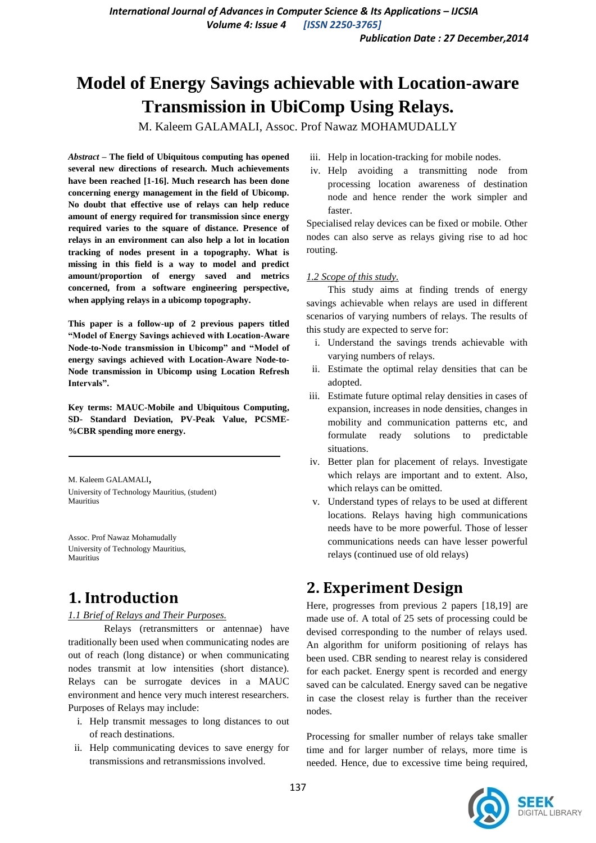# **Model of Energy Savings achievable with Location-aware Transmission in UbiComp Using Relays.**

M. Kaleem GALAMALI, Assoc. Prof Nawaz MOHAMUDALLY

*Abstract* **– The field of Ubiquitous computing has opened several new directions of research. Much achievements have been reached [1-16]. Much research has been done concerning energy management in the field of Ubicomp. No doubt that effective use of relays can help reduce amount of energy required for transmission since energy required varies to the square of distance. Presence of relays in an environment can also help a lot in location tracking of nodes present in a topography. What is missing in this field is a way to model and predict amount/proportion of energy saved and metrics concerned, from a software engineering perspective, when applying relays in a ubicomp topography.**

**This paper is a follow-up of 2 previous papers titled "Model of Energy Savings achieved with Location-Aware Node-to-Node transmission in Ubicomp" and "Model of energy savings achieved with Location-Aware Node-to-Node transmission in Ubicomp using Location Refresh Intervals".**

**Key terms: MAUC-Mobile and Ubiquitous Computing, SD- Standard Deviation, PV-Peak Value, PCSME- %CBR spending more energy.**

M. Kaleem GALAMALI, University of Technology Mauritius, (student) Mauritius

Assoc. Prof Nawaz Mohamudally University of Technology Mauritius, Mauritius

## **1. Introduction**

### *1.1 Brief of Relays and Their Purposes.*

Relays (retransmitters or antennae) have traditionally been used when communicating nodes are out of reach (long distance) or when communicating nodes transmit at low intensities (short distance). Relays can be surrogate devices in a MAUC environment and hence very much interest researchers. Purposes of Relays may include:

- i. Help transmit messages to long distances to out of reach destinations.
- ii. Help communicating devices to save energy for transmissions and retransmissions involved.
- iii. Help in location-tracking for mobile nodes.
- iv. Help avoiding a transmitting node from processing location awareness of destination node and hence render the work simpler and faster.

Specialised relay devices can be fixed or mobile. Other nodes can also serve as relays giving rise to ad hoc routing.

### *1.2 Scope of this study.*

This study aims at finding trends of energy savings achievable when relays are used in different scenarios of varying numbers of relays. The results of this study are expected to serve for:

- i. Understand the savings trends achievable with varying numbers of relays.
- ii. Estimate the optimal relay densities that can be adopted.
- iii. Estimate future optimal relay densities in cases of expansion, increases in node densities, changes in mobility and communication patterns etc, and formulate ready solutions to predictable situations.
- iv. Better plan for placement of relays. Investigate which relays are important and to extent. Also, which relays can be omitted.
- v. Understand types of relays to be used at different locations. Relays having high communications needs have to be more powerful. Those of lesser communications needs can have lesser powerful relays (continued use of old relays)

## **2. Experiment Design**

Here, progresses from previous 2 papers [18,19] are made use of. A total of 25 sets of processing could be devised corresponding to the number of relays used. An algorithm for uniform positioning of relays has been used. CBR sending to nearest relay is considered for each packet. Energy spent is recorded and energy saved can be calculated. Energy saved can be negative in case the closest relay is further than the receiver nodes.

Processing for smaller number of relays take smaller time and for larger number of relays, more time is needed. Hence, due to excessive time being required,

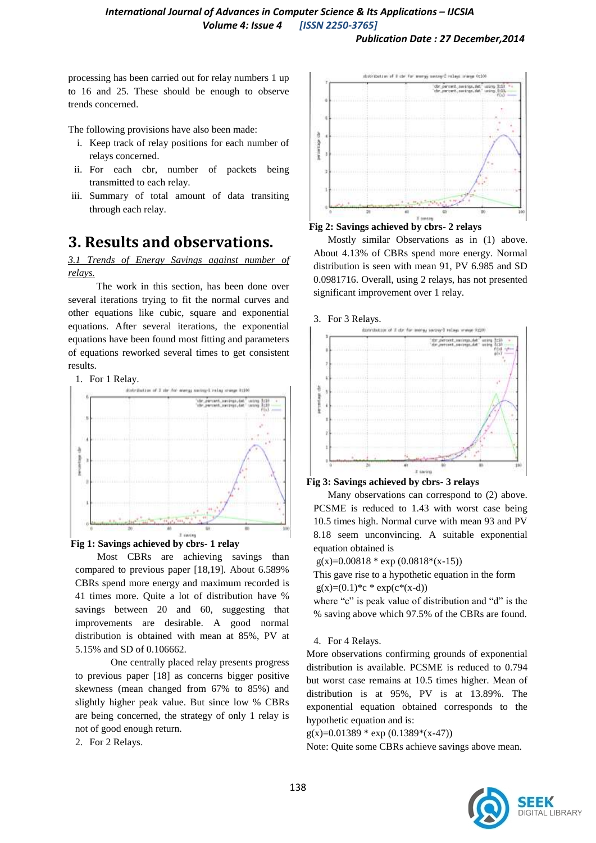processing has been carried out for relay numbers 1 up to 16 and 25. These should be enough to observe trends concerned.

The following provisions have also been made:

- i. Keep track of relay positions for each number of relays concerned.
- ii. For each cbr, number of packets being transmitted to each relay.
- iii. Summary of total amount of data transiting through each relay.

## **3. Results and observations.**

*3.1 Trends of Energy Savings against number of relays.* 

The work in this section, has been done over several iterations trying to fit the normal curves and other equations like cubic, square and exponential equations. After several iterations, the exponential equations have been found most fitting and parameters of equations reworked several times to get consistent results.







Most CBRs are achieving savings than compared to previous paper [18,19]. About 6.589% CBRs spend more energy and maximum recorded is 41 times more. Quite a lot of distribution have % savings between 20 and 60, suggesting that improvements are desirable. A good normal distribution is obtained with mean at 85%, PV at 5.15% and SD of 0.106662.

One centrally placed relay presents progress to previous paper [18] as concerns bigger positive skewness (mean changed from 67% to 85%) and slightly higher peak value. But since low % CBRs are being concerned, the strategy of only 1 relay is not of good enough return.

2. For 2 Relays.



**Fig 2: Savings achieved by cbrs- 2 relays** 

Mostly similar Observations as in (1) above. About 4.13% of CBRs spend more energy. Normal distribution is seen with mean 91, PV 6.985 and SD 0.0981716. Overall, using 2 relays, has not presented significant improvement over 1 relay.





Many observations can correspond to (2) above. PCSME is reduced to 1.43 with worst case being 10.5 times high. Normal curve with mean 93 and PV 8.18 seem unconvincing. A suitable exponential equation obtained is

 $g(x)=0.00818 * exp(0.0818 * (x-15))$ 

This gave rise to a hypothetic equation in the form  $g(x)=(0.1)^*c * exp(c*(x-d))$ 

where "c" is peak value of distribution and "d" is the % saving above which 97.5% of the CBRs are found.

### 4. For 4 Relays.

More observations confirming grounds of exponential distribution is available. PCSME is reduced to 0.794 but worst case remains at 10.5 times higher. Mean of distribution is at 95%, PV is at 13.89%. The exponential equation obtained corresponds to the hypothetic equation and is:

 $g(x)=0.01389 * exp(0.1389 * (x-47))$ 

Note: Quite some CBRs achieve savings above mean.

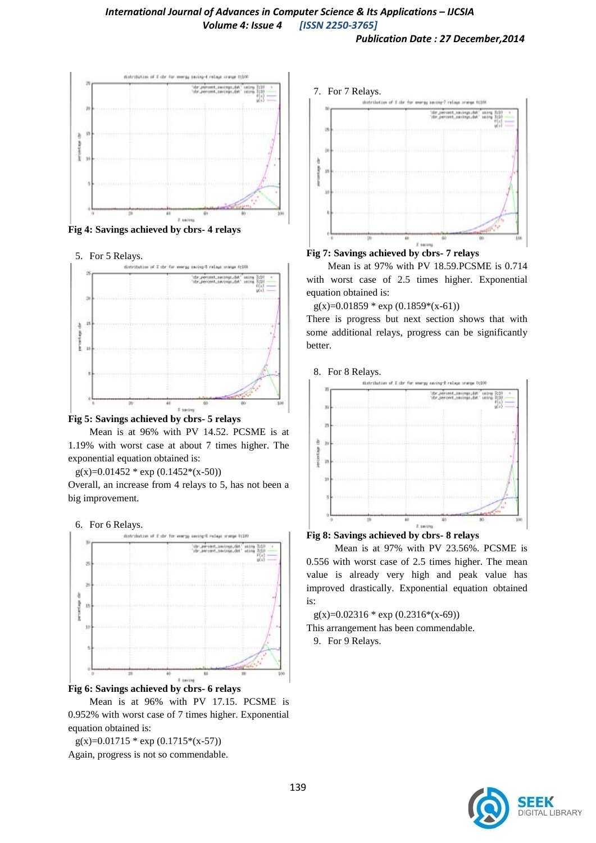

**Fig 4: Savings achieved by cbrs- 4 relays**

5. For 5 Relays.





Mean is at 96% with PV 14.52. PCSME is at 1.19% with worst case at about 7 times higher. The exponential equation obtained is:

 $g(x)=0.01452 * exp(0.1452*(x-50))$ 

Overall, an increase from 4 relays to 5, has not been a big improvement.

### 6. For 6 Relays.



Mean is at 96% with PV 17.15. PCSME is 0.952% with worst case of 7 times higher. Exponential equation obtained is:

 $g(x)=0.01715 * exp(0.1715*(x-57))$ Again, progress is not so commendable.



### **Fig 7: Savings achieved by cbrs- 7 relays**

Mean is at 97% with PV 18.59.PCSME is 0.714 with worst case of 2.5 times higher. Exponential equation obtained is:

 $g(x)=0.01859 * exp(0.1859*(x-61))$ 

There is progress but next section shows that with some additional relays, progress can be significantly better.



### **Fig 8: Savings achieved by cbrs- 8 relays**

Mean is at 97% with PV 23.56%. PCSME is 0.556 with worst case of 2.5 times higher. The mean value is already very high and peak value has improved drastically. Exponential equation obtained is:

 $g(x)=0.02316 * exp(0.2316*(x-69))$ 

This arrangement has been commendable.

9. For 9 Relays.

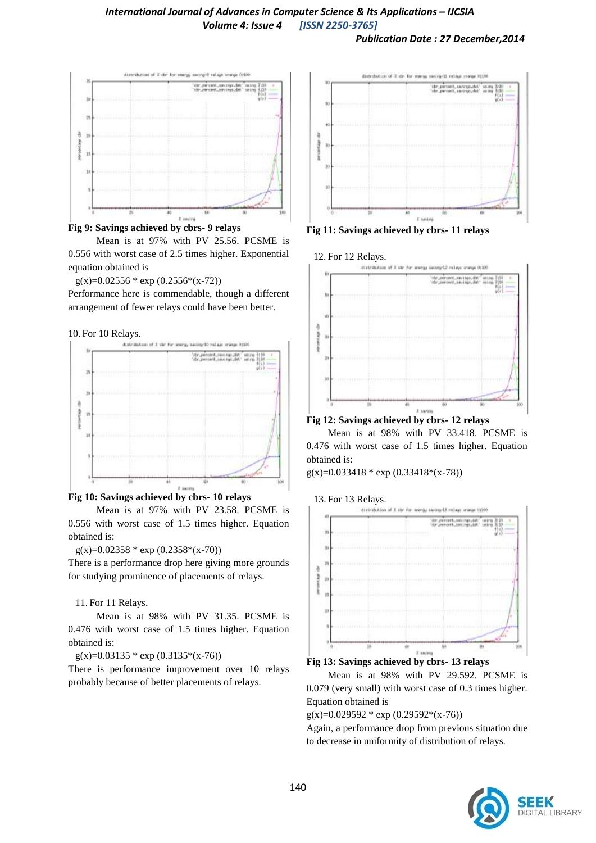*Publication Date : 27 December,2014*





Mean is at 97% with PV 25.56. PCSME is 0.556 with worst case of 2.5 times higher. Exponential equation obtained is

```
g(x)=0.02556 * exp(0.2556*(x-72))
```
Performance here is commendable, though a different arrangement of fewer relays could have been better.

#### 10. For 10 Relays.



### **Fig 10: Savings achieved by cbrs- 10 relays**

Mean is at 97% with PV 23.58. PCSME is 0.556 with worst case of 1.5 times higher. Equation obtained is:

#### $g(x)=0.02358 * exp(0.2358 * (x-70))$

There is a performance drop here giving more grounds for studying prominence of placements of relays.

### 11. For 11 Relays.

Mean is at 98% with PV 31.35. PCSME is 0.476 with worst case of 1.5 times higher. Equation obtained is:

 $g(x)=0.03135 * exp(0.3135*(x-76))$ 

There is performance improvement over 10 relays probably because of better placements of relays.



**Fig 11: Savings achieved by cbrs- 11 relays**



**Fig 12: Savings achieved by cbrs- 12 relays**

Mean is at 98% with PV 33.418. PCSME is 0.476 with worst case of 1.5 times higher. Equation obtained is:

g(x)=0.033418 \* exp (0.33418\*(x-78))





Mean is at 98% with PV 29.592. PCSME is 0.079 (very small) with worst case of 0.3 times higher. Equation obtained is

 $g(x)=0.029592 * exp(0.29592*(x-76))$ 

Again, a performance drop from previous situation due to decrease in uniformity of distribution of relays.

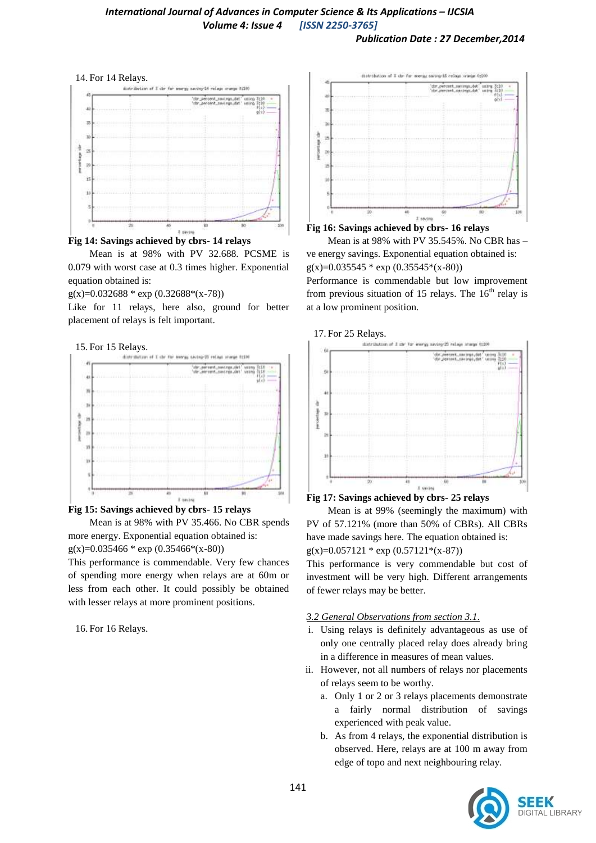*Publication Date : 27 December,2014*





Mean is at 98% with PV 32.688. PCSME is 0.079 with worst case at 0.3 times higher. Exponential equation obtained is:

 $g(x)=0.032688 * exp(0.32688 * (x-78))$ 

Like for 11 relays, here also, ground for better placement of relays is felt important.





**Fig 15: Savings achieved by cbrs- 15 relays**

Mean is at 98% with PV 35.466. No CBR spends more energy. Exponential equation obtained is:  $g(x)=0.035466*exp(0.35466*(x-80))$ 

This performance is commendable. Very few chances of spending more energy when relays are at 60m or less from each other. It could possibly be obtained with lesser relays at more prominent positions.

16. For 16 Relays.





ve energy savings. Exponential equation obtained is:  $g(x)=0.035545 * exp(0.35545 * (x-80))$ Performance is commendable but low improvement

from previous situation of 15 relays. The  $16<sup>th</sup>$  relay is at a low prominent position.



### **Fig 17: Savings achieved by cbrs- 25 relays**

Mean is at 99% (seemingly the maximum) with PV of 57.121% (more than 50% of CBRs). All CBRs have made savings here. The equation obtained is:  $g(x)=0.057121 * exp(0.57121 * (x-87))$ 

This performance is very commendable but cost of investment will be very high. Different arrangements of fewer relays may be better.

### *3.2 General Observations from section 3.1.*

- i. Using relays is definitely advantageous as use of only one centrally placed relay does already bring in a difference in measures of mean values.
- ii. However, not all numbers of relays nor placements of relays seem to be worthy.
	- a. Only 1 or 2 or 3 relays placements demonstrate a fairly normal distribution of savings experienced with peak value.
	- b. As from 4 relays, the exponential distribution is observed. Here, relays are at 100 m away from edge of topo and next neighbouring relay.

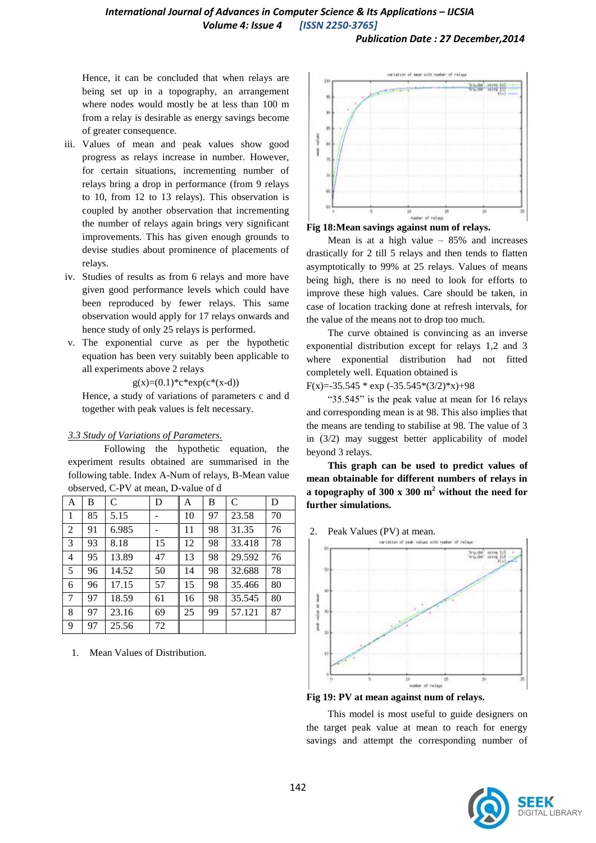*Publication Date : 27 December,2014*

Hence, it can be concluded that when relays are being set up in a topography, an arrangement where nodes would mostly be at less than 100 m from a relay is desirable as energy savings become of greater consequence.

- iii. Values of mean and peak values show good progress as relays increase in number. However, for certain situations, incrementing number of relays bring a drop in performance (from 9 relays to 10, from 12 to 13 relays). This observation is coupled by another observation that incrementing the number of relays again brings very significant improvements. This has given enough grounds to devise studies about prominence of placements of relays.
- iv. Studies of results as from 6 relays and more have given good performance levels which could have been reproduced by fewer relays. This same observation would apply for 17 relays onwards and hence study of only 25 relays is performed.
- v. The exponential curve as per the hypothetic equation has been very suitably been applicable to all experiments above 2 relays

 $g(x)=(0.1)^*c*exp(c*(x-d))$ 

Hence, a study of variations of parameters c and d together with peak values is felt necessary.

### *3.3 Study of Variations of Parameters.*

Following the hypothetic equation, the experiment results obtained are summarised in the following table. Index A-Num of relays, B-Mean value observed, C-PV at mean, D-value of d

| А              | B  | $\mathcal{C}$ | D  | A  | В  | C      | D  |
|----------------|----|---------------|----|----|----|--------|----|
| 1              | 85 | 5.15          |    | 10 | 97 | 23.58  | 70 |
| $\overline{2}$ | 91 | 6.985         |    | 11 | 98 | 31.35  | 76 |
| 3              | 93 | 8.18          | 15 | 12 | 98 | 33.418 | 78 |
| 4              | 95 | 13.89         | 47 | 13 | 98 | 29.592 | 76 |
| 5              | 96 | 14.52         | 50 | 14 | 98 | 32.688 | 78 |
| 6              | 96 | 17.15         | 57 | 15 | 98 | 35.466 | 80 |
| 7              | 97 | 18.59         | 61 | 16 | 98 | 35.545 | 80 |
| 8              | 97 | 23.16         | 69 | 25 | 99 | 57.121 | 87 |
| 9              | 97 | 25.56         | 72 |    |    |        |    |

1. Mean Values of Distribution.





Mean is at a high value  $-85%$  and increases drastically for 2 till 5 relays and then tends to flatten asymptotically to 99% at 25 relays. Values of means being high, there is no need to look for efforts to improve these high values. Care should be taken, in case of location tracking done at refresh intervals, for the value of the means not to drop too much.

The curve obtained is convincing as an inverse exponential distribution except for relays 1,2 and 3 where exponential distribution had not fitted completely well. Equation obtained is

F(x)=-35.545  $*$  exp (-35.545 $*(3/2)*x$ )+98

"35.545" is the peak value at mean for 16 relays and corresponding mean is at 98. This also implies that the means are tending to stabilise at 98. The value of 3 in (3/2) may suggest better applicability of model beyond 3 relays.

**This graph can be used to predict values of mean obtainable for different numbers of relays in a topography of 300 x 300 m<sup>2</sup> without the need for further simulations.**

2. Peak Values (PV) at mean.



**Fig 19: PV at mean against num of relays.** 

This model is most useful to guide designers on the target peak value at mean to reach for energy savings and attempt the corresponding number of

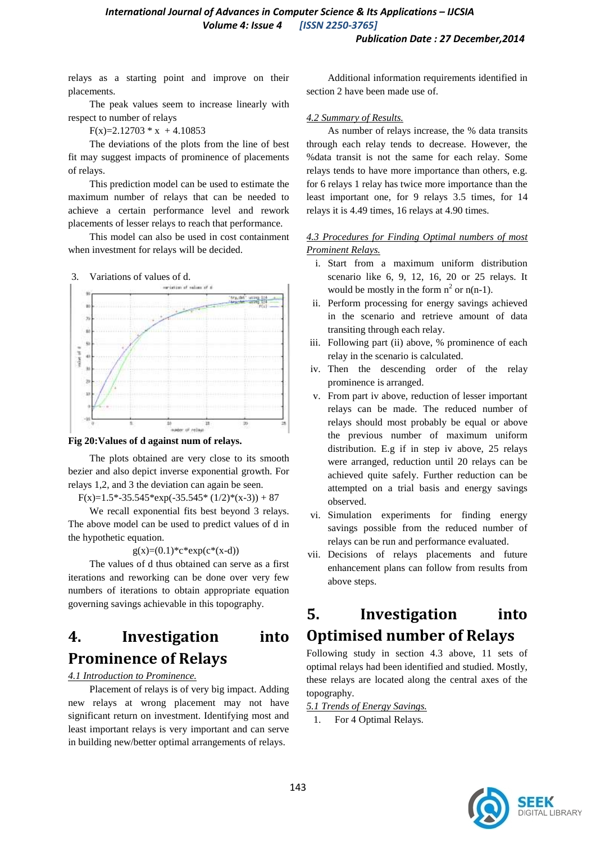relays as a starting point and improve on their placements.

The peak values seem to increase linearly with respect to number of relays

 $F(x)=2.12703 * x + 4.10853$ 

The deviations of the plots from the line of best fit may suggest impacts of prominence of placements of relays.

This prediction model can be used to estimate the maximum number of relays that can be needed to achieve a certain performance level and rework placements of lesser relays to reach that performance.

This model can also be used in cost containment when investment for relays will be decided.







The plots obtained are very close to its smooth bezier and also depict inverse exponential growth. For relays 1,2, and 3 the deviation can again be seen.

 $F(x)=1.5*-35.545*exp(-35.545*(1/2)*(x-3))+87$ 

We recall exponential fits best beyond 3 relays. The above model can be used to predict values of d in the hypothetic equation.

 $g(x)=(0.1)^*c*exp(c*(x-d))$ 

The values of d thus obtained can serve as a first iterations and reworking can be done over very few numbers of iterations to obtain appropriate equation governing savings achievable in this topography.

## **4. Investigation into Prominence of Relays**

*4.1 Introduction to Prominence.* 

Placement of relays is of very big impact. Adding new relays at wrong placement may not have significant return on investment. Identifying most and least important relays is very important and can serve in building new/better optimal arrangements of relays.

Additional information requirements identified in section 2 have been made use of.

### *4.2 Summary of Results.*

As number of relays increase, the % data transits through each relay tends to decrease. However, the %data transit is not the same for each relay. Some relays tends to have more importance than others, e.g. for 6 relays 1 relay has twice more importance than the least important one, for 9 relays 3.5 times, for 14 relays it is 4.49 times, 16 relays at 4.90 times.

### *4.3 Procedures for Finding Optimal numbers of most Prominent Relays.*

- i. Start from a maximum uniform distribution scenario like 6, 9, 12, 16, 20 or 25 relays. It would be mostly in the form  $n^2$  or  $n(n-1)$ .
- ii. Perform processing for energy savings achieved in the scenario and retrieve amount of data transiting through each relay.
- iii. Following part (ii) above, % prominence of each relay in the scenario is calculated.
- iv. Then the descending order of the relay prominence is arranged.
- v. From part iv above, reduction of lesser important relays can be made. The reduced number of relays should most probably be equal or above the previous number of maximum uniform distribution. E.g if in step iv above, 25 relays were arranged, reduction until 20 relays can be achieved quite safely. Further reduction can be attempted on a trial basis and energy savings observed.
- vi. Simulation experiments for finding energy savings possible from the reduced number of relays can be run and performance evaluated.
- vii. Decisions of relays placements and future enhancement plans can follow from results from above steps.

## **5. Investigation into Optimised number of Relays**

Following study in section 4.3 above, 11 sets of optimal relays had been identified and studied. Mostly, these relays are located along the central axes of the topography.

*5.1 Trends of Energy Savings.* 

1. For 4 Optimal Relays.

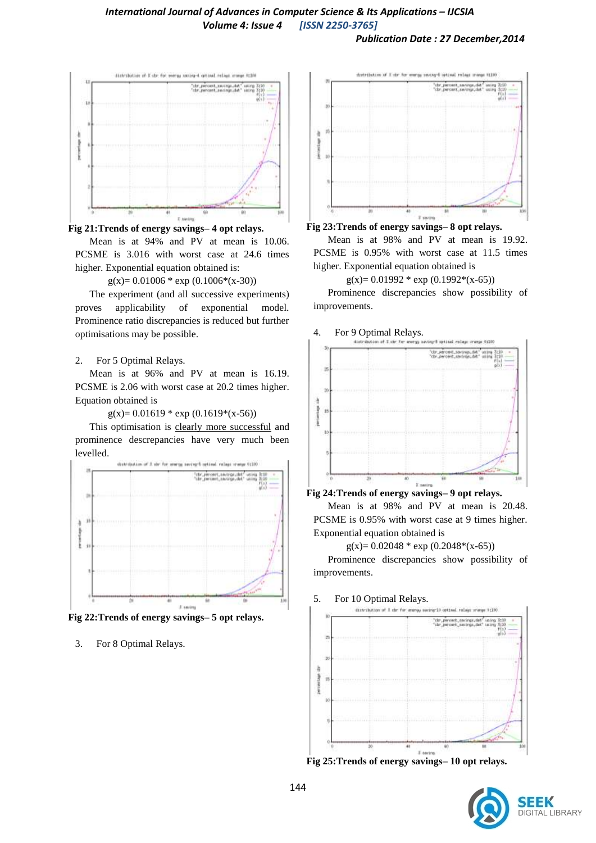

#### **Fig 21:Trends of energy savings– 4 opt relays.**

Mean is at 94% and PV at mean is 10.06. PCSME is 3.016 with worst case at 24.6 times higher. Exponential equation obtained is:

 $g(x)= 0.01006 * exp(0.1006 * (x-30))$ 

The experiment (and all successive experiments) proves applicability of exponential model. Prominence ratio discrepancies is reduced but further optimisations may be possible.

#### 2. For 5 Optimal Relays.

Mean is at 96% and PV at mean is 16.19. PCSME is 2.06 with worst case at 20.2 times higher. Equation obtained is

 $g(x)= 0.01619 * exp(0.1619 * (x-56))$ 

This optimisation is clearly more successful and prominence descrepancies have very much been levelled.



**Fig 22:Trends of energy savings– 5 opt relays.**

3. For 8 Optimal Relays.



### **Fig 23:Trends of energy savings– 8 opt relays.**

Mean is at 98% and PV at mean is 19.92. PCSME is 0.95% with worst case at 11.5 times higher. Exponential equation obtained is

 $g(x)= 0.01992 * exp(0.1992 * (x-65))$ 

Prominence discrepancies show possibility of improvements.

### 4. For 9 Optimal Relays.



**Fig 24:Trends of energy savings– 9 opt relays.**

Mean is at 98% and PV at mean is 20.48. PCSME is 0.95% with worst case at 9 times higher. Exponential equation obtained is

 $g(x)= 0.02048 * exp(0.2048 * (x-65))$ 

Prominence discrepancies show possibility of improvements.

### 5. For 10 Optimal Relays.



**Fig 25:Trends of energy savings– 10 opt relays.**

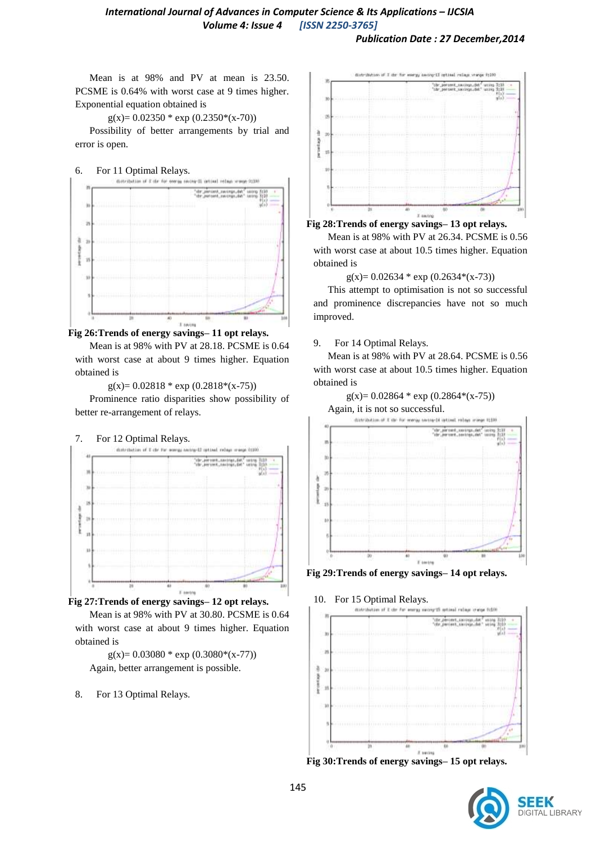Mean is at 98% and PV at mean is 23.50. PCSME is 0.64% with worst case at 9 times higher. Exponential equation obtained is

 $g(x)= 0.02350 * exp(0.2350 * (x-70))$ 

Possibility of better arrangements by trial and error is open.







Mean is at 98% with PV at 28.18. PCSME is 0.64 with worst case at about 9 times higher. Equation obtained is

 $g(x)= 0.02818 * exp(0.2818 * (x-75))$ 

Prominence ratio disparities show possibility of better re-arrangement of relays.





Mean is at 98% with PV at 30.80. PCSME is 0.64 with worst case at about 9 times higher. Equation obtained is

 $g(x)= 0.03080 * exp(0.3080 * (x-77))$ Again, better arrangement is possible.

8. For 13 Optimal Relays.





Mean is at 98% with PV at 26.34. PCSME is 0.56 with worst case at about 10.5 times higher. Equation obtained is

 $g(x)= 0.02634 * exp(0.2634 * (x-73))$ 

This attempt to optimisation is not so successful and prominence discrepancies have not so much improved.

### 9. For 14 Optimal Relays.

Mean is at 98% with PV at 28.64. PCSME is 0.56 with worst case at about 10.5 times higher. Equation obtained is





**Fig 29:Trends of energy savings– 14 opt relays.**







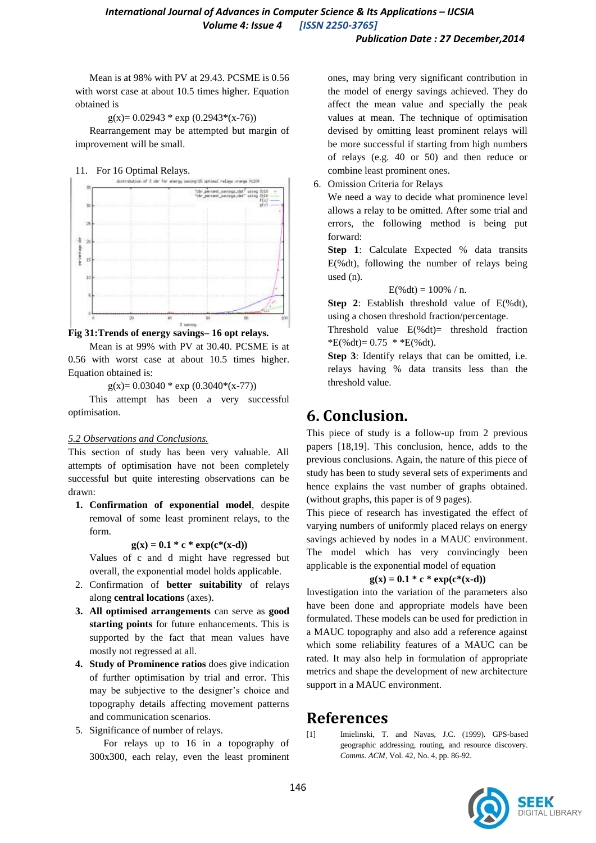Mean is at 98% with PV at 29.43. PCSME is 0.56 with worst case at about 10.5 times higher. Equation obtained is

 $g(x)= 0.02943 * exp(0.2943 * (x-76))$ 

Rearrangement may be attempted but margin of improvement will be small.





**Fig 31:Trends of energy savings– 16 opt relays.**

Mean is at 99% with PV at 30.40. PCSME is at 0.56 with worst case at about 10.5 times higher. Equation obtained is:

 $g(x)= 0.03040 * exp(0.3040 * (x-77))$ 

This attempt has been a very successful optimisation.

### *5.2 Observations and Conclusions.*

This section of study has been very valuable. All attempts of optimisation have not been completely successful but quite interesting observations can be drawn:

**1. Confirmation of exponential model**, despite removal of some least prominent relays, to the form.

 $g(x) = 0.1 * c * exp(c*(x-d))$ 

Values of c and d might have regressed but overall, the exponential model holds applicable.

- 2. Confirmation of **better suitability** of relays along **central locations** (axes).
- **3. All optimised arrangements** can serve as **good starting points** for future enhancements. This is supported by the fact that mean values have mostly not regressed at all.
- **4. Study of Prominence ratios** does give indication of further optimisation by trial and error. This may be subjective to the designer's choice and topography details affecting movement patterns and communication scenarios.
- 5. Significance of number of relays.

For relays up to 16 in a topography of 300x300, each relay, even the least prominent ones, may bring very significant contribution in the model of energy savings achieved. They do affect the mean value and specially the peak values at mean. The technique of optimisation devised by omitting least prominent relays will be more successful if starting from high numbers of relays (e.g. 40 or 50) and then reduce or combine least prominent ones.

6. Omission Criteria for Relays

We need a way to decide what prominence level allows a relay to be omitted. After some trial and errors, the following method is being put forward:

**Step 1**: Calculate Expected % data transits E(%dt), following the number of relays being used (n).

$$
E(\% dt) = 100\% / n.
$$

**Step 2**: Establish threshold value of E(%dt), using a chosen threshold fraction/percentage.

Threshold value  $E(\%dt)$  threshold fraction  $E(\% dt) = 0.75 * E(\% dt)$ .

**Step 3**: Identify relays that can be omitted, i.e. relays having % data transits less than the threshold value.

## **6. Conclusion.**

This piece of study is a follow-up from 2 previous papers [18,19]. This conclusion, hence, adds to the previous conclusions. Again, the nature of this piece of study has been to study several sets of experiments and hence explains the vast number of graphs obtained. (without graphs, this paper is of 9 pages).

This piece of research has investigated the effect of varying numbers of uniformly placed relays on energy savings achieved by nodes in a MAUC environment. The model which has very convincingly been applicable is the exponential model of equation

### $g(x) = 0.1 * c * exp(c*(x-d))$

Investigation into the variation of the parameters also have been done and appropriate models have been formulated. These models can be used for prediction in a MAUC topography and also add a reference against which some reliability features of a MAUC can be rated. It may also help in formulation of appropriate metrics and shape the development of new architecture support in a MAUC environment.

## **References**

[1] Imielinski, T. and Navas, J.C. (1999). GPS-based geographic addressing, routing, and resource discovery. *Comms. ACM*, Vol. 42, No. 4, pp. 86-92.